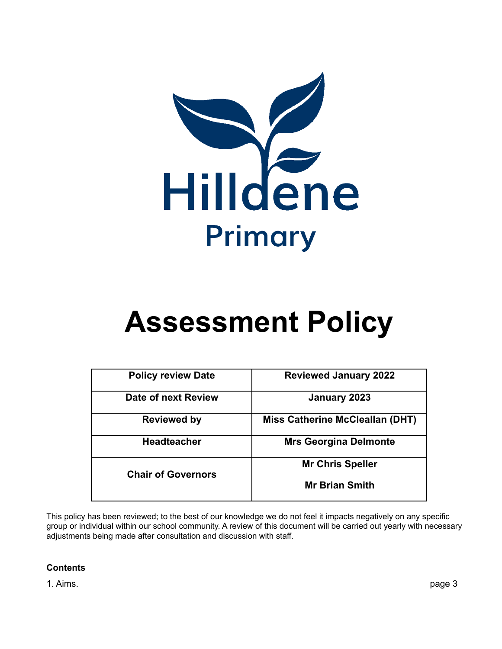

| <b>Policy review Date</b> | <b>Reviewed January 2022</b>           |
|---------------------------|----------------------------------------|
| Date of next Review       | January 2023                           |
| Reviewed by               | <b>Miss Catherine McCleallan (DHT)</b> |
| <b>Headteacher</b>        | <b>Mrs Georgina Delmonte</b>           |
|                           | <b>Mr Chris Speller</b>                |
| <b>Chair of Governors</b> | <b>Mr Brian Smith</b>                  |

This policy has been reviewed; to the best of our knowledge we do not feel it impacts negatively on any specific group or individual within our school community. A review of this document will be carried out yearly with necessary adjustments being made after consultation and discussion with staff.

# **Contents**

1. Aims. page 3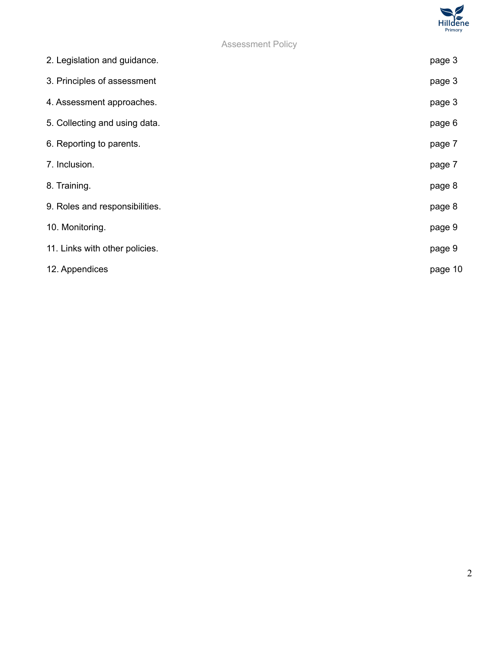

| 2. Legislation and guidance.   | page 3  |
|--------------------------------|---------|
| 3. Principles of assessment    | page 3  |
| 4. Assessment approaches.      | page 3  |
| 5. Collecting and using data.  | page 6  |
| 6. Reporting to parents.       | page 7  |
| 7. Inclusion.                  | page 7  |
| 8. Training.                   | page 8  |
| 9. Roles and responsibilities. | page 8  |
| 10. Monitoring.                | page 9  |
| 11. Links with other policies. | page 9  |
| 12. Appendices                 | page 10 |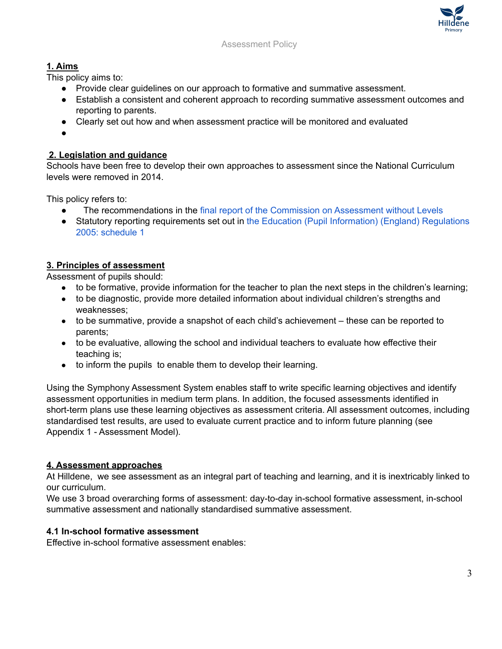

# **1. Aims**

This policy aims to:

- Provide clear guidelines on our approach to formative and summative assessment.
- Establish a consistent and coherent approach to recording summative assessment outcomes and reporting to parents.
- Clearly set out how and when assessment practice will be monitored and evaluated
- ●

# **2. Legislation and guidance**

Schools have been free to develop their own approaches to assessment since the National Curriculum levels were removed in 2014.

This policy refers to:

- The recommendations in the final report of the [Commission](https://www.gov.uk/government/publications/commission-on-assessment-without-levels-final-report) on Assessment without Levels
- Statutory reporting requirements set out in the Education (Pupil [Information\)](http://www.legislation.gov.uk/uksi/2005/1437/schedule/1/made) (England) Regulations 2005: [schedule](http://www.legislation.gov.uk/uksi/2005/1437/schedule/1/made) 1

# **3. Principles of assessment**

Assessment of pupils should:

- to be formative, provide information for the teacher to plan the next steps in the children's learning;
- to be diagnostic, provide more detailed information about individual children's strengths and weaknesses;
- to be summative, provide a snapshot of each child's achievement these can be reported to parents;
- to be evaluative, allowing the school and individual teachers to evaluate how effective their teaching is;
- to inform the pupils to enable them to develop their learning.

Using the Symphony Assessment System enables staff to write specific learning objectives and identify assessment opportunities in medium term plans. In addition, the focused assessments identified in short-term plans use these learning objectives as assessment criteria. All assessment outcomes, including standardised test results, are used to evaluate current practice and to inform future planning (see Appendix 1 - Assessment Model).

# **4. Assessment approaches**

At Hilldene, we see assessment as an integral part of teaching and learning, and it is inextricably linked to our curriculum.

We use 3 broad overarching forms of assessment: day-to-day in-school formative assessment, in-school summative assessment and nationally standardised summative assessment.

# **4.1 In-school formative assessment**

Effective in-school formative assessment enables: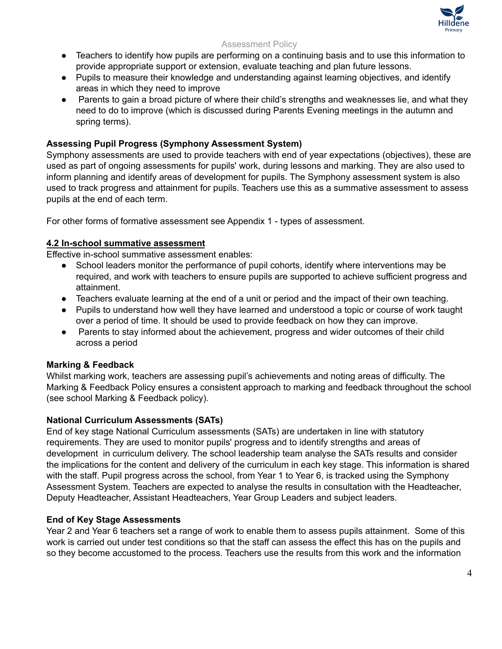

- Teachers to identify how pupils are performing on a continuing basis and to use this information to provide appropriate support or extension, evaluate teaching and plan future lessons.
- Pupils to measure their knowledge and understanding against learning objectives, and identify areas in which they need to improve
- Parents to gain a broad picture of where their child's strengths and weaknesses lie, and what they need to do to improve (which is discussed during Parents Evening meetings in the autumn and spring terms).

# **Assessing Pupil Progress (Symphony Assessment System)**

Symphony assessments are used to provide teachers with end of year expectations (objectives), these are used as part of ongoing assessments for pupils' work, during lessons and marking. They are also used to inform planning and identify areas of development for pupils. The Symphony assessment system is also used to track progress and attainment for pupils. Teachers use this as a summative assessment to assess pupils at the end of each term.

For other forms of formative assessment see Appendix 1 - types of assessment.

# **4.2 In-school summative assessment**

Effective in-school summative assessment enables:

- School leaders monitor the performance of pupil cohorts, identify where interventions may be required, and work with teachers to ensure pupils are supported to achieve sufficient progress and attainment.
- Teachers evaluate learning at the end of a unit or period and the impact of their own teaching.
- Pupils to understand how well they have learned and understood a topic or course of work taught over a period of time. It should be used to provide feedback on how they can improve.
- Parents to stay informed about the achievement, progress and wider outcomes of their child across a period

# **Marking & Feedback**

Whilst marking work, teachers are assessing pupil's achievements and noting areas of difficulty. The Marking & Feedback Policy ensures a consistent approach to marking and feedback throughout the school (see school Marking & Feedback policy).

# **National Curriculum Assessments (SATs)**

End of key stage National Curriculum assessments (SATs) are undertaken in line with statutory requirements. They are used to monitor pupils' progress and to identify strengths and areas of development in curriculum delivery. The school leadership team analyse the SATs results and consider the implications for the content and delivery of the curriculum in each key stage. This information is shared with the staff. Pupil progress across the school, from Year 1 to Year 6, is tracked using the Symphony Assessment System. Teachers are expected to analyse the results in consultation with the Headteacher, Deputy Headteacher, Assistant Headteachers, Year Group Leaders and subject leaders.

# **End of Key Stage Assessments**

Year 2 and Year 6 teachers set a range of work to enable them to assess pupils attainment. Some of this work is carried out under test conditions so that the staff can assess the effect this has on the pupils and so they become accustomed to the process. Teachers use the results from this work and the information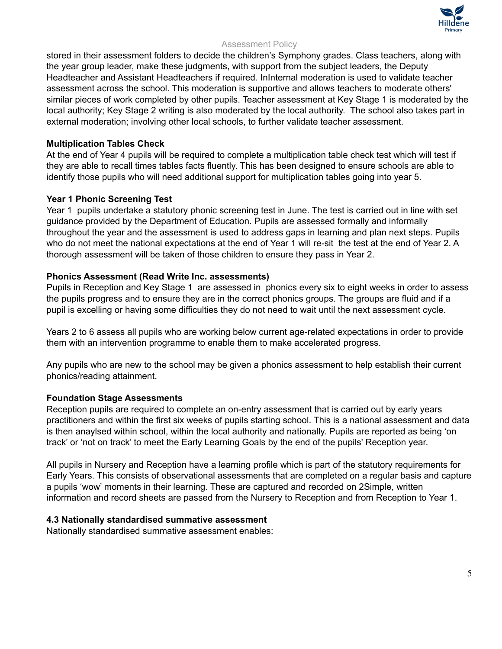

stored in their assessment folders to decide the children's Symphony grades. Class teachers, along with the year group leader, make these judgments, with support from the subject leaders, the Deputy Headteacher and Assistant Headteachers if required. InInternal moderation is used to validate teacher assessment across the school. This moderation is supportive and allows teachers to moderate others' similar pieces of work completed by other pupils. Teacher assessment at Key Stage 1 is moderated by the local authority; Key Stage 2 writing is also moderated by the local authority. The school also takes part in external moderation; involving other local schools, to further validate teacher assessment.

## **Multiplication Tables Check**

At the end of Year 4 pupils will be required to complete a multiplication table check test which will test if they are able to recall times tables facts fluently. This has been designed to ensure schools are able to identify those pupils who will need additional support for multiplication tables going into year 5.

# **Year 1 Phonic Screening Test**

Year 1 pupils undertake a statutory phonic screening test in June. The test is carried out in line with set guidance provided by the Department of Education. Pupils are assessed formally and informally throughout the year and the assessment is used to address gaps in learning and plan next steps. Pupils who do not meet the national expectations at the end of Year 1 will re-sit the test at the end of Year 2. A thorough assessment will be taken of those children to ensure they pass in Year 2.

#### **Phonics Assessment (Read Write Inc. assessments)**

Pupils in Reception and Key Stage 1 are assessed in phonics every six to eight weeks in order to assess the pupils progress and to ensure they are in the correct phonics groups. The groups are fluid and if a pupil is excelling or having some difficulties they do not need to wait until the next assessment cycle.

Years 2 to 6 assess all pupils who are working below current age-related expectations in order to provide them with an intervention programme to enable them to make accelerated progress.

Any pupils who are new to the school may be given a phonics assessment to help establish their current phonics/reading attainment.

#### **Foundation Stage Assessments**

Reception pupils are required to complete an on-entry assessment that is carried out by early years practitioners and within the first six weeks of pupils starting school. This is a national assessment and data is then anaylsed within school, within the local authority and nationally. Pupils are reported as being 'on track' or 'not on track' to meet the Early Learning Goals by the end of the pupils' Reception year.

All pupils in Nursery and Reception have a learning profile which is part of the statutory requirements for Early Years. This consists of observational assessments that are completed on a regular basis and capture a pupils 'wow' moments in their learning. These are captured and recorded on 2Simple, written information and record sheets are passed from the Nursery to Reception and from Reception to Year 1.

#### **4.3 Nationally standardised summative assessment**

Nationally standardised summative assessment enables: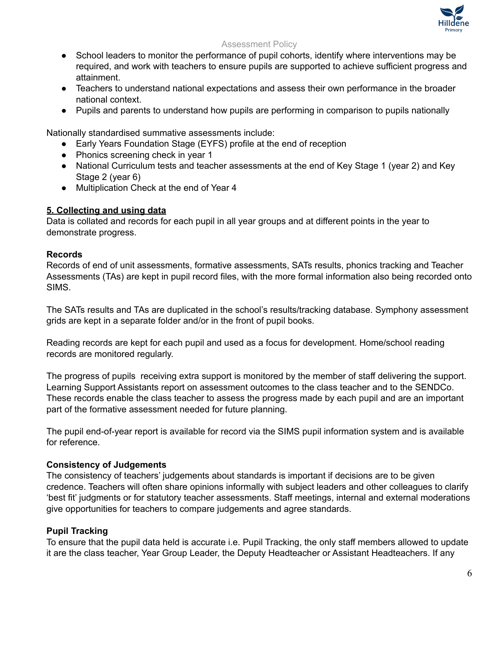

- School leaders to monitor the performance of pupil cohorts, identify where interventions may be required, and work with teachers to ensure pupils are supported to achieve sufficient progress and attainment.
- Teachers to understand national expectations and assess their own performance in the broader national context.
- Pupils and parents to understand how pupils are performing in comparison to pupils nationally

Nationally standardised summative assessments include:

- Early Years Foundation Stage (EYFS) profile at the end of reception
- Phonics screening check in year 1
- National Curriculum tests and teacher assessments at the end of Key Stage 1 (year 2) and Key Stage 2 (year 6)
- Multiplication Check at the end of Year 4

# **5. Collecting and using data**

Data is collated and records for each pupil in all year groups and at different points in the year to demonstrate progress.

#### **Records**

Records of end of unit assessments, formative assessments, SATs results, phonics tracking and Teacher Assessments (TAs) are kept in pupil record files, with the more formal information also being recorded onto SIMS.

The SATs results and TAs are duplicated in the school's results/tracking database. Symphony assessment grids are kept in a separate folder and/or in the front of pupil books.

Reading records are kept for each pupil and used as a focus for development. Home/school reading records are monitored regularly.

The progress of pupils receiving extra support is monitored by the member of staff delivering the support. Learning Support Assistants report on assessment outcomes to the class teacher and to the SENDCo. These records enable the class teacher to assess the progress made by each pupil and are an important part of the formative assessment needed for future planning.

The pupil end-of-year report is available for record via the SIMS pupil information system and is available for reference.

# **Consistency of Judgements**

The consistency of teachers' judgements about standards is important if decisions are to be given credence. Teachers will often share opinions informally with subject leaders and other colleagues to clarify 'best fit' judgments or for statutory teacher assessments. Staff meetings, internal and external moderations give opportunities for teachers to compare judgements and agree standards.

# **Pupil Tracking**

To ensure that the pupil data held is accurate i.e. Pupil Tracking, the only staff members allowed to update it are the class teacher, Year Group Leader, the Deputy Headteacher or Assistant Headteachers. If any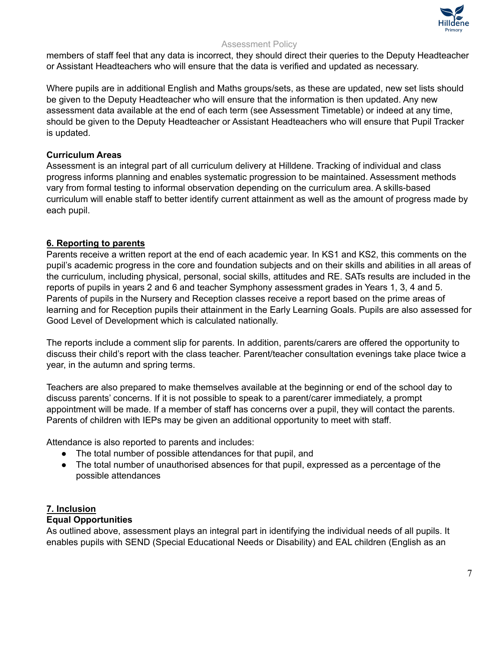

members of staff feel that any data is incorrect, they should direct their queries to the Deputy Headteacher or Assistant Headteachers who will ensure that the data is verified and updated as necessary.

Where pupils are in additional English and Maths groups/sets, as these are updated, new set lists should be given to the Deputy Headteacher who will ensure that the information is then updated. Any new assessment data available at the end of each term (see Assessment Timetable) or indeed at any time, should be given to the Deputy Headteacher or Assistant Headteachers who will ensure that Pupil Tracker is updated.

# **Curriculum Areas**

Assessment is an integral part of all curriculum delivery at Hilldene. Tracking of individual and class progress informs planning and enables systematic progression to be maintained. Assessment methods vary from formal testing to informal observation depending on the curriculum area. A skills-based curriculum will enable staff to better identify current attainment as well as the amount of progress made by each pupil.

# **6. Reporting to parents**

Parents receive a written report at the end of each academic year. In KS1 and KS2, this comments on the pupil's academic progress in the core and foundation subjects and on their skills and abilities in all areas of the curriculum, including physical, personal, social skills, attitudes and RE. SATs results are included in the reports of pupils in years 2 and 6 and teacher Symphony assessment grades in Years 1, 3, 4 and 5. Parents of pupils in the Nursery and Reception classes receive a report based on the prime areas of learning and for Reception pupils their attainment in the Early Learning Goals. Pupils are also assessed for Good Level of Development which is calculated nationally.

The reports include a comment slip for parents. In addition, parents/carers are offered the opportunity to discuss their child's report with the class teacher. Parent/teacher consultation evenings take place twice a year, in the autumn and spring terms.

Teachers are also prepared to make themselves available at the beginning or end of the school day to discuss parents' concerns. If it is not possible to speak to a parent/carer immediately, a prompt appointment will be made. If a member of staff has concerns over a pupil, they will contact the parents. Parents of children with IEPs may be given an additional opportunity to meet with staff.

Attendance is also reported to parents and includes:

- The total number of possible attendances for that pupil, and
- The total number of unauthorised absences for that pupil, expressed as a percentage of the possible attendances

#### **7. Inclusion Equal Opportunities**

As outlined above, assessment plays an integral part in identifying the individual needs of all pupils. It enables pupils with SEND (Special Educational Needs or Disability) and EAL children (English as an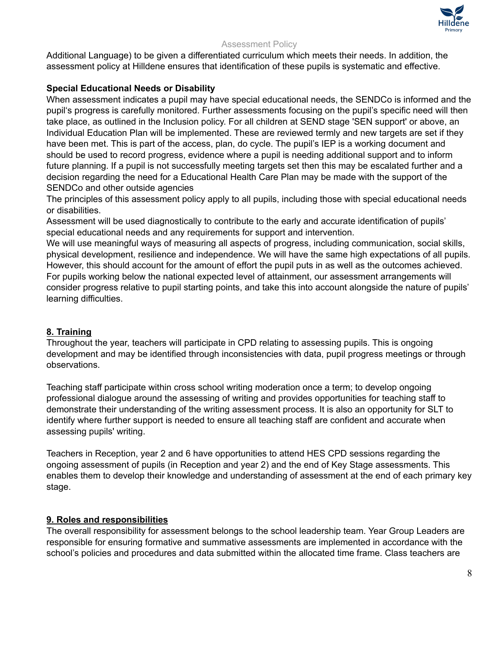

Additional Language) to be given a differentiated curriculum which meets their needs. In addition, the assessment policy at Hilldene ensures that identification of these pupils is systematic and effective.

# **Special Educational Needs or Disability**

When assessment indicates a pupil may have special educational needs, the SENDCo is informed and the pupil's progress is carefully monitored. Further assessments focusing on the pupil's specific need will then take place, as outlined in the Inclusion policy. For all children at SEND stage 'SEN support' or above, an Individual Education Plan will be implemented. These are reviewed termly and new targets are set if they have been met. This is part of the access, plan, do cycle. The pupil's IEP is a working document and should be used to record progress, evidence where a pupil is needing additional support and to inform future planning. If a pupil is not successfully meeting targets set then this may be escalated further and a decision regarding the need for a Educational Health Care Plan may be made with the support of the SENDCo and other outside agencies

The principles of this assessment policy apply to all pupils, including those with special educational needs or disabilities.

Assessment will be used diagnostically to contribute to the early and accurate identification of pupils' special educational needs and any requirements for support and intervention.

We will use meaningful ways of measuring all aspects of progress, including communication, social skills, physical development, resilience and independence. We will have the same high expectations of all pupils. However, this should account for the amount of effort the pupil puts in as well as the outcomes achieved. For pupils working below the national expected level of attainment, our assessment arrangements will consider progress relative to pupil starting points, and take this into account alongside the nature of pupils' learning difficulties.

# **8. Training**

Throughout the year, teachers will participate in CPD relating to assessing pupils. This is ongoing development and may be identified through inconsistencies with data, pupil progress meetings or through observations.

Teaching staff participate within cross school writing moderation once a term; to develop ongoing professional dialogue around the assessing of writing and provides opportunities for teaching staff to demonstrate their understanding of the writing assessment process. It is also an opportunity for SLT to identify where further support is needed to ensure all teaching staff are confident and accurate when assessing pupils' writing.

Teachers in Reception, year 2 and 6 have opportunities to attend HES CPD sessions regarding the ongoing assessment of pupils (in Reception and year 2) and the end of Key Stage assessments. This enables them to develop their knowledge and understanding of assessment at the end of each primary key stage.

# **9. Roles and responsibilities**

The overall responsibility for assessment belongs to the school leadership team. Year Group Leaders are responsible for ensuring formative and summative assessments are implemented in accordance with the school's policies and procedures and data submitted within the allocated time frame. Class teachers are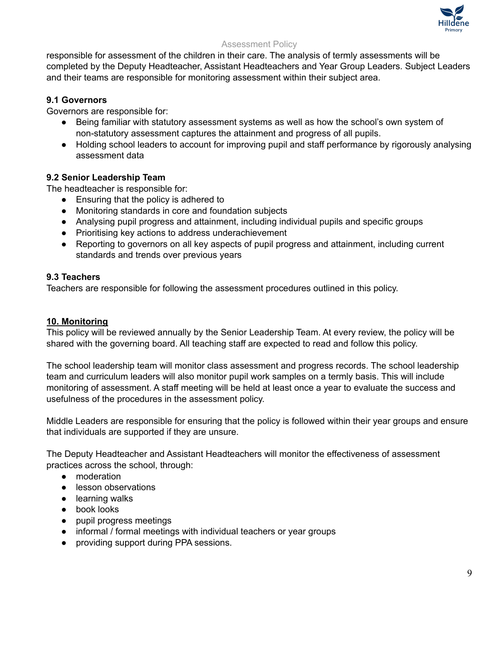

responsible for assessment of the children in their care. The analysis of termly assessments will be completed by the Deputy Headteacher, Assistant Headteachers and Year Group Leaders. Subject Leaders and their teams are responsible for monitoring assessment within their subject area.

# **9.1 Governors**

Governors are responsible for:

- Being familiar with statutory assessment systems as well as how the school's own system of non-statutory assessment captures the attainment and progress of all pupils.
- Holding school leaders to account for improving pupil and staff performance by rigorously analysing assessment data

# **9.2 Senior Leadership Team**

The headteacher is responsible for:

- Ensuring that the policy is adhered to
- Monitoring standards in core and foundation subjects
- Analysing pupil progress and attainment, including individual pupils and specific groups
- Prioritising key actions to address underachievement
- Reporting to governors on all key aspects of pupil progress and attainment, including current standards and trends over previous years

# **9.3 Teachers**

Teachers are responsible for following the assessment procedures outlined in this policy.

# **10. Monitoring**

This policy will be reviewed annually by the Senior Leadership Team. At every review, the policy will be shared with the governing board. All teaching staff are expected to read and follow this policy.

The school leadership team will monitor class assessment and progress records. The school leadership team and curriculum leaders will also monitor pupil work samples on a termly basis. This will include monitoring of assessment. A staff meeting will be held at least once a year to evaluate the success and usefulness of the procedures in the assessment policy.

Middle Leaders are responsible for ensuring that the policy is followed within their year groups and ensure that individuals are supported if they are unsure.

The Deputy Headteacher and Assistant Headteachers will monitor the effectiveness of assessment practices across the school, through:

- moderation
- lesson observations
- learning walks
- book looks
- pupil progress meetings
- informal / formal meetings with individual teachers or year groups
- providing support during PPA sessions.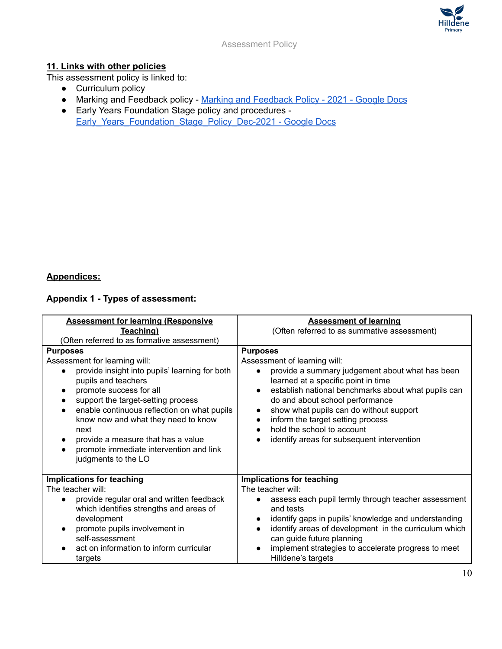

# **11. Links with other policies**

This assessment policy is linked to:

- Curriculum policy
- Marking and Feedback policy Marking and [Feedback](https://docs.google.com/document/d/1Gk17Odc3E63sNHMfdZ3FF4fXVU_876mEwzZXdB_kulE/edit) Policy 2021 Google Docs
- Early Years Foundation Stage policy and procedures [Early\\_Years\\_Foundation\\_Stage\\_Policy\\_Dec-2021](https://docs.google.com/document/d/1EBK1hvEU37qiZcObgI4iQwo5XvpCEnCLnvtoceQ8WrM/edit) - Google Docs

# **Appendices:**

# **Appendix 1 - Types of assessment:**

| <b>Assessment for learning (Responsive</b>                                                                                                                                                                                                                                          | <b>Assessment of learning</b>                                                                                                                                                                                                                                                                                                                                                               |
|-------------------------------------------------------------------------------------------------------------------------------------------------------------------------------------------------------------------------------------------------------------------------------------|---------------------------------------------------------------------------------------------------------------------------------------------------------------------------------------------------------------------------------------------------------------------------------------------------------------------------------------------------------------------------------------------|
| Teaching)                                                                                                                                                                                                                                                                           | (Often referred to as summative assessment)                                                                                                                                                                                                                                                                                                                                                 |
| (Often referred to as formative assessment)                                                                                                                                                                                                                                         |                                                                                                                                                                                                                                                                                                                                                                                             |
| <b>Purposes</b>                                                                                                                                                                                                                                                                     | <b>Purposes</b>                                                                                                                                                                                                                                                                                                                                                                             |
| Assessment for learning will:                                                                                                                                                                                                                                                       | Assessment of learning will:                                                                                                                                                                                                                                                                                                                                                                |
| provide insight into pupils' learning for both                                                                                                                                                                                                                                      | provide a summary judgement about what has been                                                                                                                                                                                                                                                                                                                                             |
| pupils and teachers                                                                                                                                                                                                                                                                 | learned at a specific point in time                                                                                                                                                                                                                                                                                                                                                         |
| promote success for all                                                                                                                                                                                                                                                             | establish national benchmarks about what pupils can                                                                                                                                                                                                                                                                                                                                         |
| support the target-setting process                                                                                                                                                                                                                                                  | $\bullet$                                                                                                                                                                                                                                                                                                                                                                                   |
| enable continuous reflection on what pupils                                                                                                                                                                                                                                         | do and about school performance                                                                                                                                                                                                                                                                                                                                                             |
| know now and what they need to know                                                                                                                                                                                                                                                 | show what pupils can do without support                                                                                                                                                                                                                                                                                                                                                     |
| next                                                                                                                                                                                                                                                                                | $\bullet$                                                                                                                                                                                                                                                                                                                                                                                   |
| provide a measure that has a value                                                                                                                                                                                                                                                  | inform the target setting process                                                                                                                                                                                                                                                                                                                                                           |
| promote immediate intervention and link                                                                                                                                                                                                                                             | hold the school to account                                                                                                                                                                                                                                                                                                                                                                  |
| judgments to the LO                                                                                                                                                                                                                                                                 | identify areas for subsequent intervention                                                                                                                                                                                                                                                                                                                                                  |
| <b>Implications for teaching</b><br>The teacher will:<br>provide regular oral and written feedback<br>$\bullet$<br>which identifies strengths and areas of<br>development<br>promote pupils involvement in<br>self-assessment<br>act on information to inform curricular<br>targets | <b>Implications for teaching</b><br>The teacher will:<br>assess each pupil termly through teacher assessment<br>and tests<br>identify gaps in pupils' knowledge and understanding<br>$\bullet$<br>identify areas of development in the curriculum which<br>$\bullet$<br>can guide future planning<br>implement strategies to accelerate progress to meet<br>$\bullet$<br>Hilldene's targets |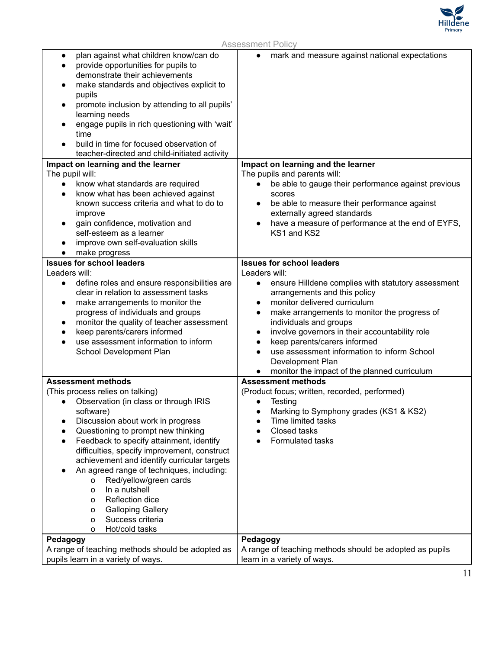

| plan against what children know/can do<br>$\bullet$<br>provide opportunities for pupils to<br>demonstrate their achievements<br>make standards and objectives explicit to<br>pupils<br>promote inclusion by attending to all pupils'<br>learning needs<br>engage pupils in rich questioning with 'wait'<br>time<br>build in time for focused observation of<br>teacher-directed and child-initiated activity                                                                                                                                         | mark and measure against national expectations<br>$\bullet$                                                                                                                                                                                                                                                                                                                                                                                                                                                |
|------------------------------------------------------------------------------------------------------------------------------------------------------------------------------------------------------------------------------------------------------------------------------------------------------------------------------------------------------------------------------------------------------------------------------------------------------------------------------------------------------------------------------------------------------|------------------------------------------------------------------------------------------------------------------------------------------------------------------------------------------------------------------------------------------------------------------------------------------------------------------------------------------------------------------------------------------------------------------------------------------------------------------------------------------------------------|
| Impact on learning and the learner<br>The pupil will:<br>know what standards are required<br>$\bullet$<br>know what has been achieved against<br>$\bullet$<br>known success criteria and what to do to<br>improve<br>gain confidence, motivation and<br>self-esteem as a learner<br>improve own self-evaluation skills<br>make progress                                                                                                                                                                                                              | Impact on learning and the learner<br>The pupils and parents will:<br>be able to gauge their performance against previous<br>$\bullet$<br>scores<br>be able to measure their performance against<br>$\bullet$<br>externally agreed standards<br>have a measure of performance at the end of EYFS,<br>KS1 and KS2                                                                                                                                                                                           |
| <b>Issues for school leaders</b><br>Leaders will:<br>define roles and ensure responsibilities are<br>$\bullet$<br>clear in relation to assessment tasks<br>make arrangements to monitor the<br>$\bullet$<br>progress of individuals and groups<br>monitor the quality of teacher assessment<br>$\bullet$<br>keep parents/carers informed<br>use assessment information to inform<br>School Development Plan                                                                                                                                          | <b>Issues for school leaders</b><br>Leaders will:<br>ensure Hilldene complies with statutory assessment<br>$\bullet$<br>arrangements and this policy<br>monitor delivered curriculum<br>$\bullet$<br>make arrangements to monitor the progress of<br>individuals and groups<br>involve governors in their accountability role<br>$\bullet$<br>keep parents/carers informed<br>$\bullet$<br>use assessment information to inform School<br>Development Plan<br>monitor the impact of the planned curriculum |
| <b>Assessment methods</b><br>(This process relies on talking)<br>Observation (in class or through IRIS<br>software)<br>Discussion about work in progress<br>Questioning to prompt new thinking<br>Feedback to specify attainment, identify<br>difficulties, specify improvement, construct<br>achievement and identify curricular targets<br>An agreed range of techniques, including:<br>Red/yellow/green cards<br>o<br>In a nutshell<br>o<br>Reflection dice<br>o<br><b>Galloping Gallery</b><br>0<br>Success criteria<br>0<br>Hot/cold tasks<br>o | <b>Assessment methods</b><br>(Product focus; written, recorded, performed)<br>Testing<br>Marking to Symphony grades (KS1 & KS2)<br>Time limited tasks<br>Closed tasks<br>Formulated tasks                                                                                                                                                                                                                                                                                                                  |
| Pedagogy<br>A range of teaching methods should be adopted as<br>pupils learn in a variety of ways.                                                                                                                                                                                                                                                                                                                                                                                                                                                   | Pedagogy<br>A range of teaching methods should be adopted as pupils<br>learn in a variety of ways.                                                                                                                                                                                                                                                                                                                                                                                                         |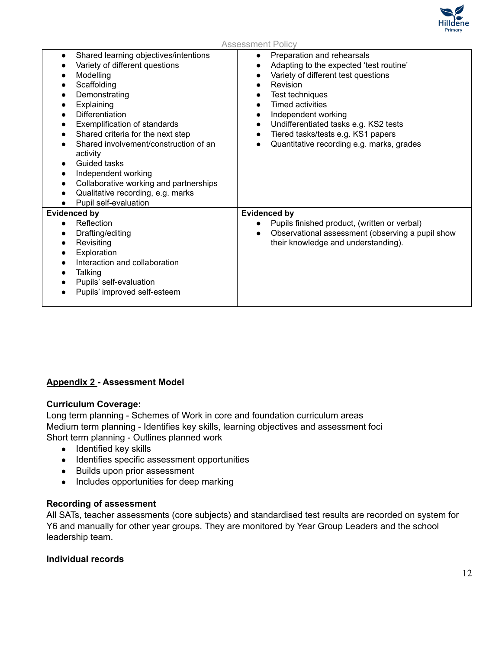

| Shared learning objectives/intentions<br>Preparation and rehearsals<br>$\bullet$<br>Variety of different questions<br>Adapting to the expected 'test routine'<br>Variety of different test questions<br>Modelling<br>$\bullet$<br>Scaffolding<br>Revision<br>Demonstrating<br>Test techniques<br>$\bullet$<br>Explaining<br><b>Timed activities</b><br><b>Differentiation</b><br>Independent working<br>$\bullet$<br>Undifferentiated tasks e.g. KS2 tests<br>Exemplification of standards<br>$\bullet$<br>Tiered tasks/tests e.g. KS1 papers<br>Shared criteria for the next step<br>$\bullet$<br>Shared involvement/construction of an<br>Quantitative recording e.g. marks, grades<br>activity<br>Guided tasks<br>Independent working<br>Collaborative working and partnerships |  |
|------------------------------------------------------------------------------------------------------------------------------------------------------------------------------------------------------------------------------------------------------------------------------------------------------------------------------------------------------------------------------------------------------------------------------------------------------------------------------------------------------------------------------------------------------------------------------------------------------------------------------------------------------------------------------------------------------------------------------------------------------------------------------------|--|
| Qualitative recording, e.g. marks<br>Pupil self-evaluation                                                                                                                                                                                                                                                                                                                                                                                                                                                                                                                                                                                                                                                                                                                         |  |
| <b>Evidenced by</b><br><b>Evidenced by</b><br>Reflection<br>Pupils finished product, (written or verbal)<br>$\bullet$<br>Observational assessment (observing a pupil show<br>Drafting/editing<br>$\bullet$<br>their knowledge and understanding).<br>Revisiting<br>Exploration<br>Interaction and collaboration<br>Talking<br>Pupils' self-evaluation<br>Pupils' improved self-esteem                                                                                                                                                                                                                                                                                                                                                                                              |  |

# **Appendix 2 - Assessment Model**

#### **Curriculum Coverage:**

Long term planning - Schemes of Work in core and foundation curriculum areas Medium term planning - Identifies key skills, learning objectives and assessment foci Short term planning - Outlines planned work

- Identified key skills
- Identifies specific assessment opportunities
- Builds upon prior assessment
- Includes opportunities for deep marking

#### **Recording of assessment**

All SATs, teacher assessments (core subjects) and standardised test results are recorded on system for Y6 and manually for other year groups. They are monitored by Year Group Leaders and the school leadership team.

## **Individual records**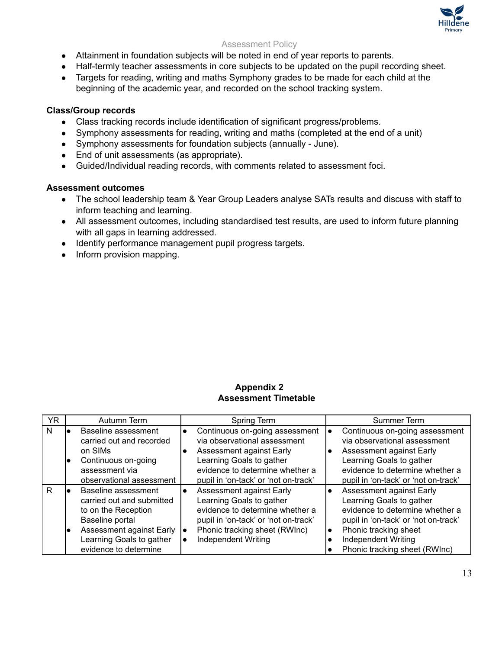

- Attainment in foundation subjects will be noted in end of year reports to parents.
- Half-termly teacher assessments in core subjects to be updated on the pupil recording sheet.
- Targets for reading, writing and maths Symphony grades to be made for each child at the beginning of the academic year, and recorded on the school tracking system.

# **Class/Group records**

- Class tracking records include identification of significant progress/problems.
- Symphony assessments for reading, writing and maths (completed at the end of a unit)
- Symphony assessments for foundation subjects (annually June).
- End of unit assessments (as appropriate).
- Guided/Individual reading records, with comments related to assessment foci.

#### **Assessment outcomes**

- The school leadership team & Year Group Leaders analyse SATs results and discuss with staff to inform teaching and learning.
- All assessment outcomes, including standardised test results, are used to inform future planning with all gaps in learning addressed.
- Identify performance management pupil progress targets.
- Inform provision mapping.

| YR | Autumn Term                                                                                                                                                                    | Spring Term                                                                                                                                                                                       | Summer Term                                                                                                                                                                                                                   |
|----|--------------------------------------------------------------------------------------------------------------------------------------------------------------------------------|---------------------------------------------------------------------------------------------------------------------------------------------------------------------------------------------------|-------------------------------------------------------------------------------------------------------------------------------------------------------------------------------------------------------------------------------|
| N  | Baseline assessment<br>carried out and recorded<br>on SIM <sub>s</sub><br>Continuous on-going<br>assessment via<br>observational assessment                                    | Continuous on-going assessment<br>via observational assessment<br>Assessment against Early<br>Learning Goals to gather<br>evidence to determine whether a<br>pupil in 'on-tack' or 'not on-track' | Continuous on-going assessment<br>via observational assessment<br>Assessment against Early<br>Learning Goals to gather<br>evidence to determine whether a<br>pupil in 'on-tack' or 'not on-track'                             |
| R  | Baseline assessment<br>carried out and submitted<br>to on the Reception<br>Baseline portal<br>Assessment against Early  .<br>Learning Goals to gather<br>evidence to determine | Assessment against Early<br>Learning Goals to gather<br>evidence to determine whether a<br>pupil in 'on-tack' or 'not on-track'<br>Phonic tracking sheet (RWInc)<br><b>Independent Writing</b>    | Assessment against Early<br>Learning Goals to gather<br>evidence to determine whether a<br>pupil in 'on-tack' or 'not on-track'<br>Phonic tracking sheet<br>$\bullet$<br>Independent Writing<br>Phonic tracking sheet (RWInc) |

# **Appendix 2 Assessment Timetable**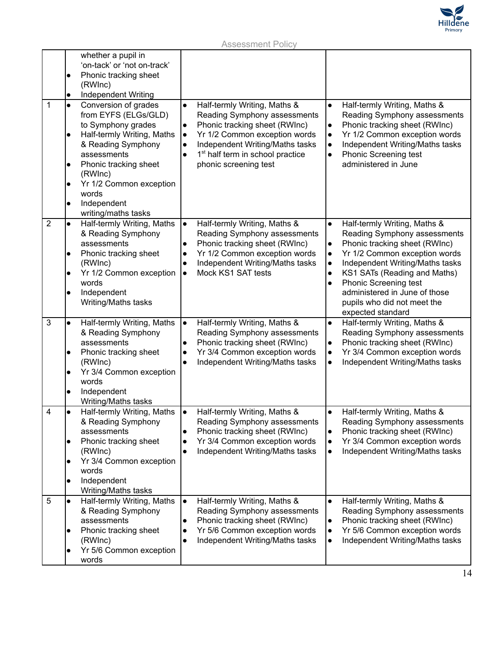

|                | whether a pupil in<br>'on-tack' or 'not on-track'<br>Phonic tracking sheet<br>(RWInc)<br>Independent Writing<br>$\bullet$                                                                                                                                                                                            |                                                                                                                                                                                                                                                                                                             |                                                                                                                                                                                                                                                                                                                                                                                              |
|----------------|----------------------------------------------------------------------------------------------------------------------------------------------------------------------------------------------------------------------------------------------------------------------------------------------------------------------|-------------------------------------------------------------------------------------------------------------------------------------------------------------------------------------------------------------------------------------------------------------------------------------------------------------|----------------------------------------------------------------------------------------------------------------------------------------------------------------------------------------------------------------------------------------------------------------------------------------------------------------------------------------------------------------------------------------------|
| 1              | Conversion of grades<br>$\bullet$<br>from EYFS (ELGs/GLD)<br>to Symphony grades<br>Half-termly Writing, Maths<br>$\bullet$<br>& Reading Symphony<br>assessments<br>Phonic tracking sheet<br>$\bullet$<br>(RWInc)<br>Yr 1/2 Common exception<br>$\bullet$<br>words<br>Independent<br>$\bullet$<br>writing/maths tasks | Half-termly Writing, Maths &<br>$\bullet$<br>Reading Symphony assessments<br>Phonic tracking sheet (RWInc)<br>$\bullet$<br>Yr 1/2 Common exception words<br>$\bullet$<br>Independent Writing/Maths tasks<br>$\bullet$<br>1 <sup>st</sup> half term in school practice<br>$\bullet$<br>phonic screening test | Half-termly Writing, Maths &<br>$\bullet$<br>Reading Symphony assessments<br>Phonic tracking sheet (RWInc)<br>$\bullet$<br>Yr 1/2 Common exception words<br>$\bullet$<br>Independent Writing/Maths tasks<br>$\bullet$<br><b>Phonic Screening test</b><br>$\bullet$<br>administered in June                                                                                                   |
| $\overline{2}$ | Half-termly Writing, Maths<br>$\bullet$<br>& Reading Symphony<br>assessments<br>Phonic tracking sheet<br>(RWInc)<br>Yr 1/2 Common exception<br>$\bullet$<br>words<br>Independent<br>Writing/Maths tasks                                                                                                              | Half-termly Writing, Maths &<br>$\bullet$<br>Reading Symphony assessments<br>Phonic tracking sheet (RWInc)<br>Yr 1/2 Common exception words<br>$\bullet$<br>Independent Writing/Maths tasks<br>Mock KS1 SAT tests<br>$\bullet$                                                                              | Half-termly Writing, Maths &<br>$\bullet$<br>Reading Symphony assessments<br>Phonic tracking sheet (RWInc)<br>$\bullet$<br>Yr 1/2 Common exception words<br>٠<br>Independent Writing/Maths tasks<br>$\bullet$<br>KS1 SATs (Reading and Maths)<br>$\bullet$<br><b>Phonic Screening test</b><br>$\bullet$<br>administered in June of those<br>pupils who did not meet the<br>expected standard |
| 3              | Half-termly Writing, Maths<br>$\bullet$<br>& Reading Symphony<br>assessments<br>Phonic tracking sheet<br>(RWInc)<br>Yr 3/4 Common exception<br>$\bullet$<br>words<br>Independent<br>Writing/Maths tasks                                                                                                              | Half-termly Writing, Maths &<br>$\bullet$<br>Reading Symphony assessments<br>Phonic tracking sheet (RWInc)<br>$\bullet$<br>Yr 3/4 Common exception words<br>$\bullet$<br>Independent Writing/Maths tasks<br>$\bullet$                                                                                       | Half-termly Writing, Maths &<br>$\bullet$<br>Reading Symphony assessments<br>Phonic tracking sheet (RWInc)<br>$\bullet$<br>Yr 3/4 Common exception words<br>$\bullet$<br>Independent Writing/Maths tasks<br>$\bullet$                                                                                                                                                                        |
| 4              | Half-termly Writing, Maths<br>$\bullet$<br>& Reading Symphony<br>assessments<br>Phonic tracking sheet<br>$\bullet$<br>(RWInc)<br>Yr 3/4 Common exception<br>$\bullet$<br>words<br>Independent<br>Writing/Maths tasks                                                                                                 | Half-termly Writing, Maths &<br>$\bullet$<br>Reading Symphony assessments<br>Phonic tracking sheet (RWInc)<br>$\bullet$<br>Yr 3/4 Common exception words<br>$\bullet$<br>Independent Writing/Maths tasks<br>$\bullet$                                                                                       | Half-termly Writing, Maths &<br>$\bullet$<br>Reading Symphony assessments<br>Phonic tracking sheet (RWInc)<br>$\bullet$<br>Yr 3/4 Common exception words<br>$\bullet$<br>Independent Writing/Maths tasks<br>$\bullet$                                                                                                                                                                        |
| 5              | Half-termly Writing, Maths<br>$\bullet$<br>& Reading Symphony<br>assessments<br>Phonic tracking sheet<br>(RWInc)<br>Yr 5/6 Common exception<br>$\bullet$<br>words                                                                                                                                                    | Half-termly Writing, Maths &<br>$\bullet$<br>Reading Symphony assessments<br>Phonic tracking sheet (RWInc)<br>$\bullet$<br>Yr 5/6 Common exception words<br>$\bullet$<br>Independent Writing/Maths tasks<br>$\bullet$                                                                                       | Half-termly Writing, Maths &<br>$\bullet$<br>Reading Symphony assessments<br>Phonic tracking sheet (RWInc)<br>$\bullet$<br>Yr 5/6 Common exception words<br>$\bullet$<br>Independent Writing/Maths tasks<br>$\bullet$                                                                                                                                                                        |